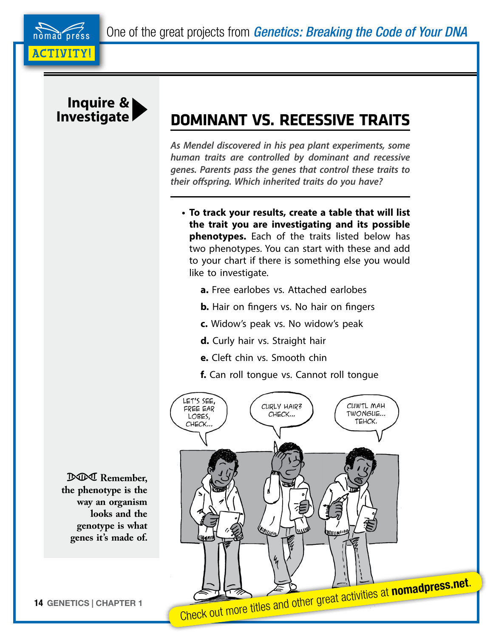One of the great projects from *Genetics: Breaking the Code of Your DNA*





## **Investigate DOMINANT VS. RECESSIVE TRAITS**

*As Mendel discovered in his pea plant experiments, some human traits are controlled by dominant and recessive genes. Parents pass the genes that control these traits to their offspring. Which inherited traits do you have?*

- **• To track your results, create a table that will list the trait you are investigating and its possible phenotypes.** Each of the traits listed below has two phenotypes. You can start with these and add to your chart if there is something else you would like to investigate.
	- **a.** Free earlobes vs. Attached earlobes
	- **b.** Hair on fingers vs. No hair on fingers
	- **c.** Widow's peak vs. No widow's peak
	- **d.** Curly hair vs. Straight hair
	- **e.** Cleft chin vs. Smooth chin

**f.** Can roll tongue vs. Cannot roll tongue



 **Remember, the phenotype is the way an organism looks and the genotype is what genes it's made of.**